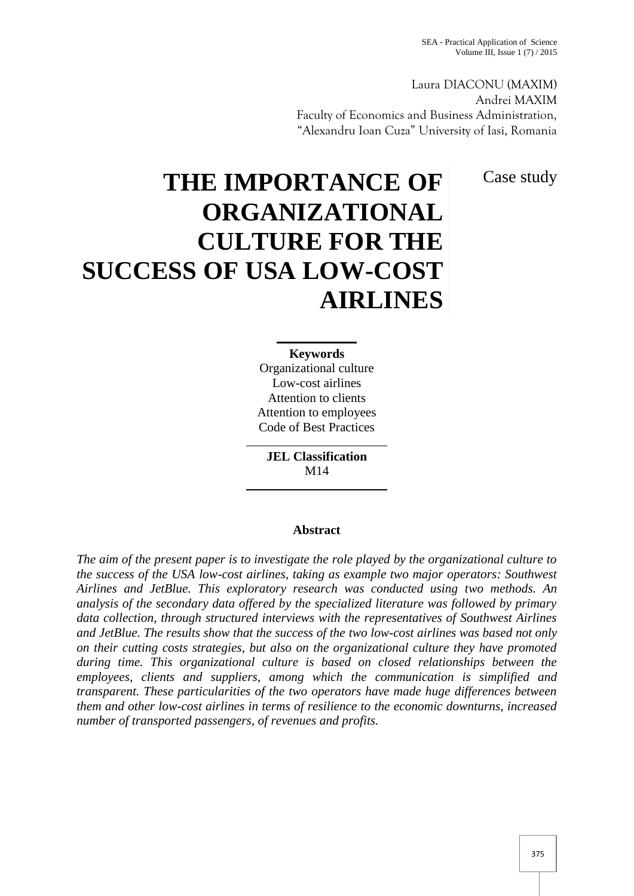Laura DIACONU (MAXIM) Andrei MAXIM Faculty of Economics and Business Administration, "Alexandru Ioan Cuza" University of Iasi, Romania

Case study

# **THE IMPORTANCE OF ORGANIZATIONAL CULTURE FOR THE SUCCESS OF USA LOW-COST AIRLINES**

**Keywords** Organizational culture Low-cost airlines Attention to clients Attention to employees Code of Best Practices

**JEL Classification** M14

# **Abstract**

*The aim of the present paper is to investigate the role played by the organizational culture to the success of the USA low-cost airlines, taking as example two major operators: Southwest Airlines and JetBlue. This exploratory research was conducted using two methods. An analysis of the secondary data offered by the specialized literature was followed by primary data collection, through structured interviews with the representatives of Southwest Airlines and JetBlue. The results show that the success of the two low-cost airlines was based not only on their cutting costs strategies, but also on the organizational culture they have promoted during time. This organizational culture is based on closed relationships between the employees, clients and suppliers, among which the communication is simplified and transparent. These particularities of the two operators have made huge differences between them and other low-cost airlines in terms of resilience to the economic downturns, increased number of transported passengers, of revenues and profits.*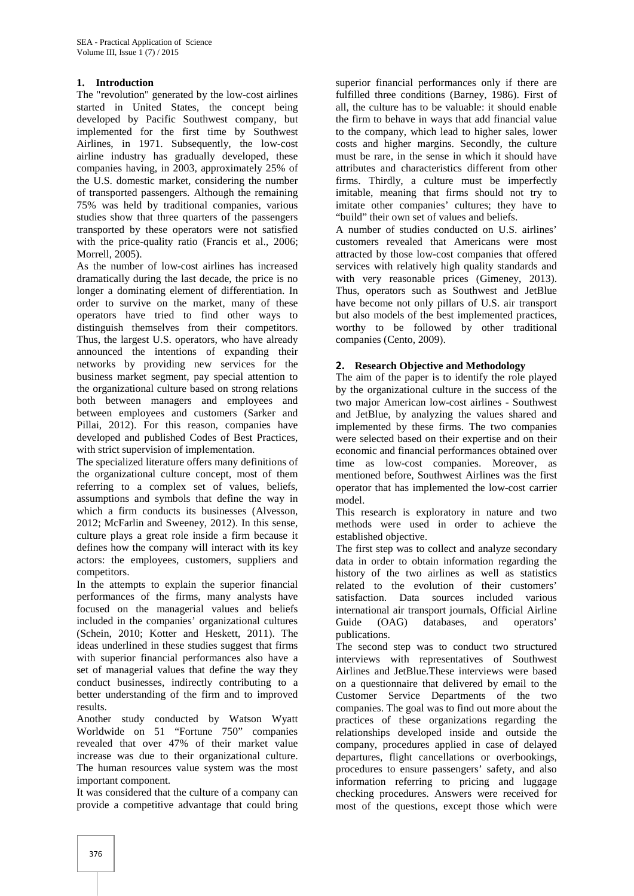## **1. Introduction**

The "revolution" generated by the low-cost airlines started in United States, the concept being developed by Pacific Southwest company, but implemented for the first time by Southwest Airlines, in 1971. Subsequently, the low-cost airline industry has gradually developed, these companies having, in 2003, approximately 25% of the U.S. domestic market, considering the number of transported passengers. Although the remaining 75% was held by traditional companies, various studies show that three quarters of the passengers transported by these operators were not satisfied with the price-quality ratio (Francis et al., 2006; Morrell, 2005).

As the number of low-cost airlines has increased dramatically during the last decade, the price is no longer a dominating element of differentiation. In order to survive on the market, many of these operators have tried to find other ways to distinguish themselves from their competitors. Thus, the largest U.S. operators, who have already announced the intentions of expanding their networks by providing new services for the business market segment, pay special attention to the organizational culture based on strong relations both between managers and employees and between employees and customers (Sarker and Pillai, 2012). For this reason, companies have developed and published Codes of Best Practices, with strict supervision of implementation.

The specialized literature offers many definitions of the organizational culture concept, most of them referring to a complex set of values, beliefs, assumptions and symbols that define the way in which a firm conducts its businesses (Alvesson, 2012; McFarlin and Sweeney, 2012). In this sense, culture plays a great role inside a firm because it defines how the company will interact with its key actors: the employees, customers, suppliers and competitors.

In the attempts to explain the superior financial performances of the firms, many analysts have focused on the managerial values and beliefs included in the companies' organizational cultures (Schein, 2010; Kotter and Heskett, 2011). The ideas underlined in these studies suggest that firms with superior financial performances also have a set of managerial values that define the way they conduct businesses, indirectly contributing to a better understanding of the firm and to improved results.

Another study conducted by Watson Wyatt Worldwide on 51 "Fortune 750" companies revealed that over 47% of their market value increase was due to their organizational culture. The human resources value system was the most important component.

It was considered that the culture of a company can provide a competitive advantage that could bring

superior financial performances only if there are fulfilled three conditions (Barney, 1986). First of all, the culture has to be valuable: it should enable the firm to behave in ways that add financial value to the company, which lead to higher sales, lower costs and higher margins. Secondly, the culture must be rare, in the sense in which it should have attributes and characteristics different from other firms. Thirdly, a culture must be imperfectly imitable, meaning that firms should not try to imitate other companies' cultures; they have to "build" their own set of values and beliefs.

A number of studies conducted on U.S. airlines' customers revealed that Americans were most attracted by those low-cost companies that offered services with relatively high quality standards and with very reasonable prices (Gimeney, 2013). Thus, operators such as Southwest and JetBlue have become not only pillars of U.S. air transport but also models of the best implemented practices, worthy to be followed by other traditional companies (Cento, 2009).

#### **2. Research Objective and Methodology**

The aim of the paper is to identify the role played by the organizational culture in the success of the two major American low-cost airlines - Southwest and JetBlue, by analyzing the values shared and implemented by these firms. The two companies were selected based on their expertise and on their economic and financial performances obtained over time as low-cost companies. Moreover, as mentioned before, Southwest Airlines was the first operator that has implemented the low-cost carrier model.

This research is exploratory in nature and two methods were used in order to achieve the established objective.

The first step was to collect and analyze secondary data in order to obtain information regarding the history of the two airlines as well as statistics related to the evolution of their customers' satisfaction. Data sources included various international air transport journals, Official Airline<br>Guide (OAG) databases, and operators' (OAG) databases, and operators' publications.

The second step was to conduct two structured interviews with representatives of Southwest Airlines and JetBlue.These interviews were based on a questionnaire that delivered by email to the Customer Service Departments of the two companies. The goal was to find out more about the practices of these organizations regarding the relationships developed inside and outside the company, procedures applied in case of delayed departures, flight cancellations or overbookings, procedures to ensure passengers' safety, and also information referring to pricing and luggage checking procedures. Answers were received for most of the questions, except those which were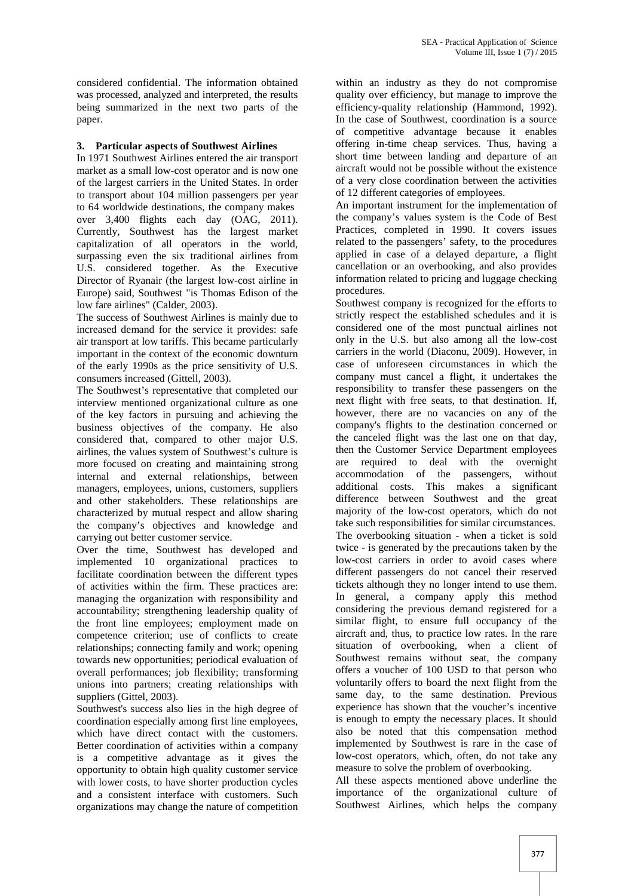considered confidential. The information obtained was processed, analyzed and interpreted, the results being summarized in the next two parts of the paper.

### **3. Particular aspects of Southwest Airlines**

In 1971 Southwest Airlines entered the air transport market as a small low-cost operator and is now one of the largest carriers in the United States. In order to transport about 104 million passengers per year to 64 worldwide destinations, the company makes over 3,400 flights each day (OAG, 2011). Currently, Southwest has the largest market capitalization of all operators in the world, surpassing even the six traditional airlines from U.S. considered together. As the Executive Director of Ryanair (the largest low-cost airline in Europe) said, Southwest "is Thomas Edison of the low fare airlines" (Calder, 2003).

The success of Southwest Airlines is mainly due to increased demand for the service it provides: safe air transport at low tariffs. This became particularly important in the context of the economic downturn of the early 1990s as the price sensitivity of U.S. consumers increased (Gittell, 2003).

The Southwest's representative that completed our interview mentioned organizational culture as one of the key factors in pursuing and achieving the business objectives of the company. He also considered that, compared to other major U.S. airlines, the values system of Southwest's culture is more focused on creating and maintaining strong internal and external relationships, between managers, employees, unions, customers, suppliers and other stakeholders. These relationships are characterized by mutual respect and allow sharing the company's objectives and knowledge and carrying out better customer service.

Over the time, Southwest has developed and implemented 10 organizational practices to facilitate coordination between the different types of activities within the firm. These practices are: managing the organization with responsibility and accountability; strengthening leadership quality of the front line employees; employment made on competence criterion; use of conflicts to create relationships; connecting family and work; opening towards new opportunities; periodical evaluation of overall performances; job flexibility; transforming unions into partners; creating relationships with suppliers (Gittel, 2003).

Southwest's success also lies in the high degree of coordination especially among first line employees, which have direct contact with the customers. Better coordination of activities within a company is a competitive advantage as it gives the opportunity to obtain high quality customer service with lower costs, to have shorter production cycles and a consistent interface with customers. Such organizations may change the nature of competition

within an industry as they do not compromise quality over efficiency, but manage to improve the efficiency-quality relationship (Hammond, 1992). In the case of Southwest, coordination is a source of competitive advantage because it enables offering in-time cheap services. Thus, having a short time between landing and departure of an aircraft would not be possible without the existence of a very close coordination between the activities of 12 different categories of employees.

An important instrument for the implementation of the company's values system is the Code of Best Practices, completed in 1990. It covers issues related to the passengers' safety, to the procedures applied in case of a delayed departure, a flight cancellation or an overbooking, and also provides information related to pricing and luggage checking procedures.

Southwest company is recognized for the efforts to strictly respect the established schedules and it is considered one of the most punctual airlines not only in the U.S. but also among all the low-cost carriers in the world (Diaconu, 2009). However, in case of unforeseen circumstances in which the company must cancel a flight, it undertakes the responsibility to transfer these passengers on the next flight with free seats, to that destination. If, however, there are no vacancies on any of the company's flights to the destination concerned or the canceled flight was the last one on that day, then the Customer Service Department employees required to deal with the overnight accommodation of the passengers, without additional costs. This makes a significant difference between Southwest and the great majority of the low-cost operators, which do not take such responsibilities for similar circumstances. The overbooking situation - when a ticket is sold twice - is generated by the precautions taken by the low-cost carriers in order to avoid cases where different passengers do not cancel their reserved tickets although they no longer intend to use them. In general, a company apply this method considering the previous demand registered for a similar flight, to ensure full occupancy of the aircraft and, thus, to practice low rates. In the rare situation of overbooking, when a client of Southwest remains without seat, the company offers a voucher of 100 USD to that person who voluntarily offers to board the next flight from the same day, to the same destination. Previous experience has shown that the voucher's incentive is enough to empty the necessary places. It should also be noted that this compensation method implemented by Southwest is rare in the case of low-cost operators, which, often, do not take any measure to solve the problem of overbooking.

All these aspects mentioned above underline the importance of the organizational culture of Southwest Airlines, which helps the company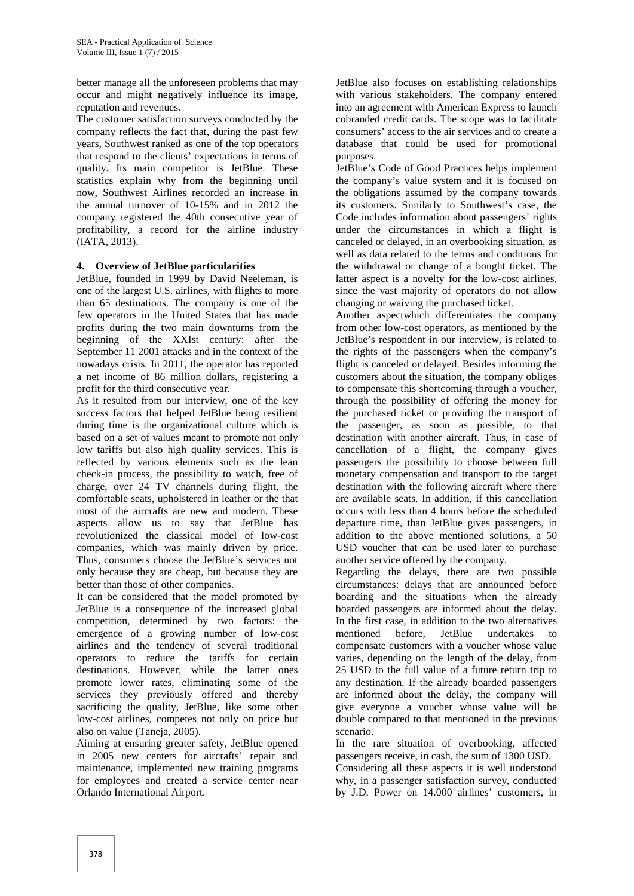better manage all the unforeseen problems that may occur and might negatively influence its image, reputation and revenues.

The customer satisfaction surveys conducted by the company reflects the fact that, during the past few years, Southwest ranked as one of the top operators that respond to the clients' expectations in terms of quality. Its main competitor is JetBlue. These statistics explain why from the beginning until now, Southwest Airlines recorded an increase in the annual turnover of 10-15% and in 2012 the company registered the 40th consecutive year of profitability, a record for the airline industry (IATA, 2013).

#### **4. Overview of JetBlue particularities**

JetBlue, founded in 1999 by David Neeleman, is one of the largest U.S. airlines, with flights to more than 65 destinations. The company is one of the few operators in the United States that has made profits during the two main downturns from the beginning of the XXIst century: after the September 11 2001 attacks and in the context of the nowadays crisis. In 2011, the operator has reported a net income of 86 million dollars, registering a profit for the third consecutive year.

As it resulted from our interview, one of the key success factors that helped JetBlue being resilient during time is the organizational culture which is based on a set of values meant to promote not only low tariffs but also high quality services. This is reflected by various elements such as the lean check-in process, the possibility to watch, free of charge, over 24 TV channels during flight, the comfortable seats, upholstered in leather or the that most of the aircrafts are new and modern. These aspects allow us to say that JetBlue has revolutionized the classical model of low-cost companies, which was mainly driven by price. Thus, consumers choose the JetBlue's services not only because they are cheap, but because they are better than those of other companies.

It can be considered that the model promoted by JetBlue is a consequence of the increased global competition, determined by two factors: the emergence of a growing number of low-cost airlines and the tendency of several traditional operators to reduce the tariffs for certain destinations. However, while the latter ones promote lower rates, eliminating some of the services they previously offered and thereby sacrificing the quality, JetBlue, like some other low-cost airlines, competes not only on price but also on value (Taneja, 2005).

Aiming at ensuring greater safety, JetBlue opened in 2005 new centers for aircrafts' repair and maintenance, implemented new training programs for employees and created a service center near Orlando International Airport.

JetBlue also focuses on establishing relationships with various stakeholders. The company entered into an agreement with American Express to launch cobranded credit cards. The scope was to facilitate consumers' access to the air services and to create a database that could be used for promotional purposes.

JetBlue's Code of Good Practices helps implement the company's value system and it is focused on the obligations assumed by the company towards its customers. Similarly to Southwest's case, the Code includes information about passengers' rights under the circumstances in which a flight is canceled or delayed, in an overbooking situation, as well as data related to the terms and conditions for the withdrawal or change of a bought ticket. The latter aspect is a novelty for the low-cost airlines, since the vast majority of operators do not allow changing or waiving the purchased ticket.

Another aspectwhich differentiates the company from other low-cost operators, as mentioned by the JetBlue's respondent in our interview, is related to the rights of the passengers when the company's flight is canceled or delayed. Besides informing the customers about the situation, the company obliges to compensate this shortcoming through a voucher, through the possibility of offering the money for the purchased ticket or providing the transport of the passenger, as soon as possible, to that destination with another aircraft. Thus, in case of cancellation of a flight, the company gives passengers the possibility to choose between full monetary compensation and transport to the target destination with the following aircraft where there are available seats. In addition, if this cancellation occurs with less than 4 hours before the scheduled departure time, than JetBlue gives passengers, in addition to the above mentioned solutions, a 50 USD voucher that can be used later to purchase another service offered by the company.

Regarding the delays, there are two possible circumstances: delays that are announced before boarding and the situations when the already boarded passengers are informed about the delay. In the first case, in addition to the two alternatives mentioned before, JetBlue undertakes compensate customers with a voucher whose value varies, depending on the length of the delay, from 25 USD to the full value of a future return trip to any destination. If the already boarded passengers are informed about the delay, the company will give everyone a voucher whose value will be double compared to that mentioned in the previous scenario.

In the rare situation of overbooking, affected passengers receive, in cash, the sum of 1300 USD.

Considering all these aspects it is well understood why, in a passenger satisfaction survey, conducted by J.D. Power on 14.000 airlines' customers, in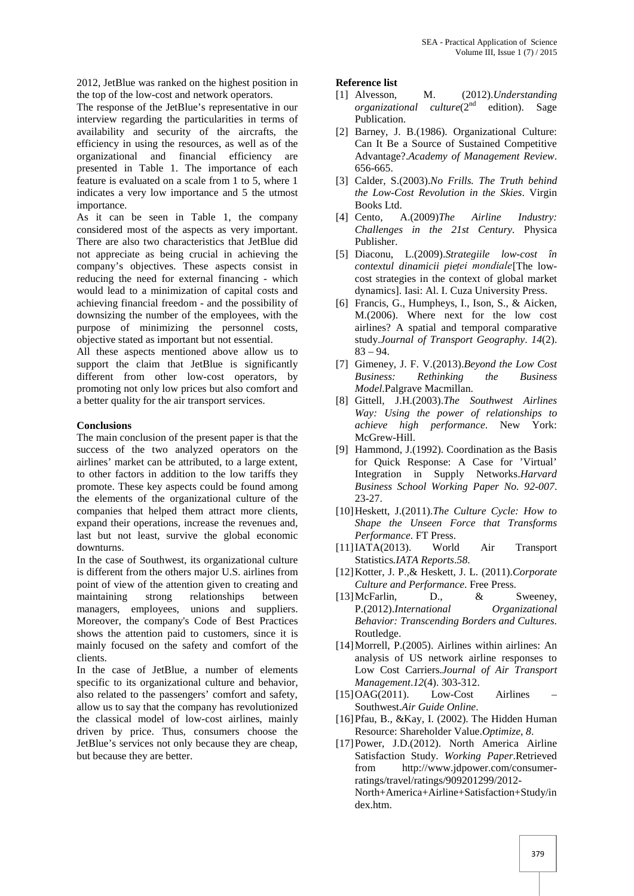2012, JetBlue was ranked on the highest position in the top of the low-cost and network operators.

The response of the JetBlue's representative in our interview regarding the particularities in terms of availability and security of the aircrafts, the efficiency in using the resources, as well as of the organizational and financial efficiency are presented in Table 1. The importance of each feature is evaluated on a scale from 1 to 5, where 1 indicates a very low importance and 5 the utmost importance.

As it can be seen in Table 1, the company [4] Cento, considered most of the aspects as very important. There are also two characteristics that JetBlue did not appreciate as being crucial in achieving the company's objectives. These aspects consist in reducing the need for external financing - which would lead to a minimization of capital costs and achieving financial freedom - and the possibility of downsizing the number of the employees, with the purpose of minimizing the personnel costs, objective stated as important but not essential.

All these aspects mentioned above allow us to support the claim that JetBlue is significantly different from other low-cost operators, by promoting not only low prices but also comfort and a better quality for the air transport services.

#### **Conclusions**

The main conclusion of the present paper is that the success of the two analyzed operators on the airlines' market can be attributed, to a large extent, to other factors in addition to the low tariffs they promote. These key aspects could be found among the elements of the organizational culture of the companies that helped them attract more clients, expand their operations, increase the revenues and, last but not least, survive the global economic downturns.

In the case of Southwest, its organizational culture is different from the others major U.S. airlines from point of view of the attention given to creating and maintaining strong relationships between managers, employees, unions and suppliers. Moreover, the company's Code of Best Practices shows the attention paid to customers, since it is mainly focused on the safety and comfort of the clients.

In the case of JetBlue, a number of elements specific to its organizational culture and behavior, also related to the passengers' comfort and safety, allow us to say that the company has revolutionized the classical model of low-cost airlines, mainly driven by price. Thus, consumers choose the JetBlue's services not only because they are cheap, but because they are better.

#### **Reference list**

- [1] Alvesson, M. (2012).*Understanding organizational culture*(2<sup>nd</sup> edition). Sage Publication.
- [2] Barney, J. B.(1986). Organizational Culture: Can It Be a Source of Sustained Competitive Advantage?.*Academy of Management Review*. 656-665.
- [3] Calder, S.(2003).*No Frills. The Truth behind the Low-Cost Revolution in the Skies*. Virgin Books Ltd.
- [4] Cento, A.(2009)*The Airline Industry: Challenges in the 21st Century.* Physica Publisher.
- [5] Diaconu, L.(2009).*Strategiile low-cost în contextul dinamicii pieței mondiale*[The low cost strategies in the context of global market dynamics]. Iasi: Al. I. Cuza University Press.
- [6] Francis, G., Humpheys, I., Ison, S., & Aicken, M.(2006). Where next for the low cost airlines? A spatial and temporal comparative study.*Journal of Transport Geography*. *14*(2).  $83 - 94.$
- [7] Gimeney, J. F. V.(2013).*Beyond the Low Cost Business: Rethinking the Business Model*.Palgrave Macmillan.
- [8] Gittell, J.H.(2003).*The Southwest Airlines Way: Using the power of relationships to achieve high performance*. New York: McGrew-Hill.
- [9] Hammond, J.(1992). Coordination as the Basis for Quick Response: A Case for 'Virtual' Integration in Supply Networks.*Harvard Business School Working Paper No. 92-007*. 23-27.
- [10]Heskett, J.(2011).*The Culture Cycle: How to Shape the Unseen Force that Transforms Performance*. FT Press.
- [11]IATA(2013). World Air Transport Statistics*.IATA Reports*.*58*.
- [12]Kotter, J. P.,& Heskett, J. L. (2011).*Corporate Culture and Performance*. Free Press.
- [13] McFarlin, D., & Sweeney, P.(2012).*International Organizational Behavior: Transcending Borders and Cultures*. Routledge.
- [14]Morrell, P.(2005). Airlines within airlines: An analysis of US network airline responses to Low Cost Carriers.*Journal of Air Transport Management*.*12*(4). 303-312.
- $[15]OAG(2011)$ . Low-Cost Airlines Southwest.*Air Guide Online*.
- [16]Pfau, B., &Kay, I. (2002). The Hidden Human Resource: Shareholder Value.*Optimize*, *8*.
- [17]Power, J.D.(2012). North America Airline Satisfaction Study. *Working Paper*.Retrieved from http://www.jdpower.com/consumerratings/travel/ratings/909201299/2012- North+America+Airline+Satisfaction+Study/in dex.htm.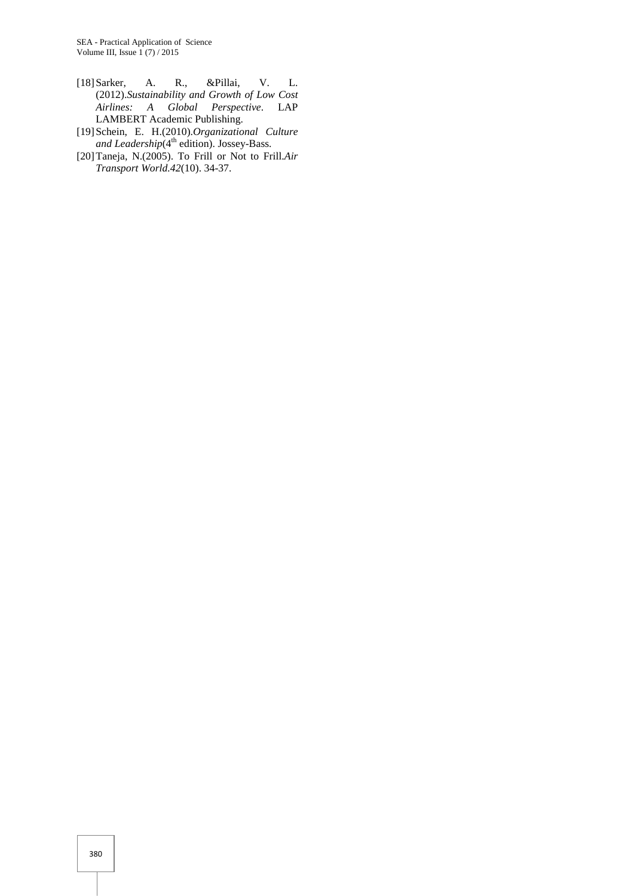- [18]Sarker, A. R., &Pillai, V. L. (2012).*Sustainability and Growth of Low Cost Airlines: A Global Perspective*. LAP LAMBERT Academic Publishing.
- [19]Schein, E. H.(2010).*Organizational Culture and Leadership*(4 th edition). Jossey-Bass.
- [20]Taneja, N.(2005). To Frill or Not to Frill.*Air Transport World.42*(10). 34-37.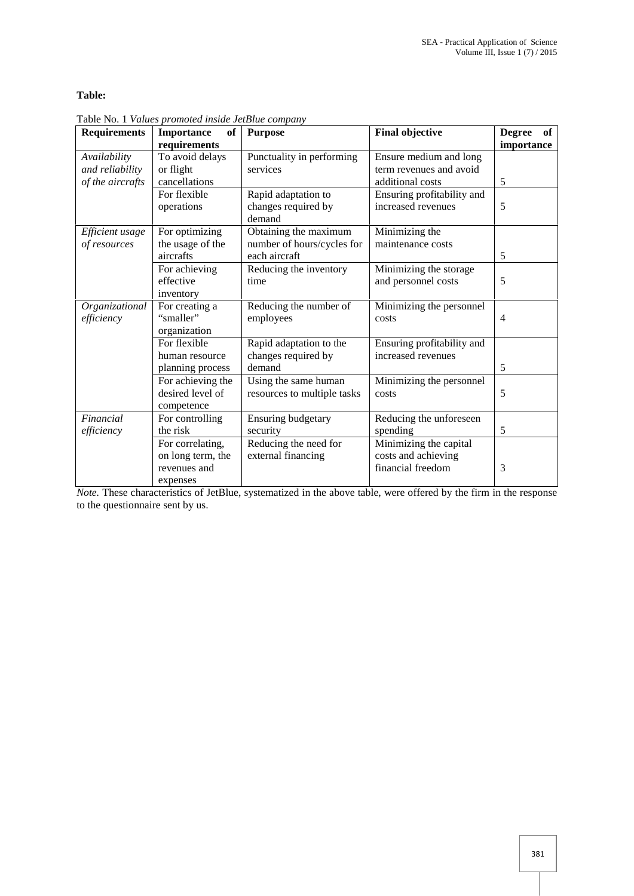# **Table:**

| <b>Requirements</b>                    | <b>Importance</b><br>of<br>requirements               | <b>Purpose</b>                                       | <b>Final objective</b>                                             | <b>Degree</b><br>of<br>importance |
|----------------------------------------|-------------------------------------------------------|------------------------------------------------------|--------------------------------------------------------------------|-----------------------------------|
| Availability<br>and reliability        | To avoid delays<br>or flight                          | Punctuality in performing<br>services                | Ensure medium and long<br>term revenues and avoid                  |                                   |
| of the aircrafts                       | cancellations                                         |                                                      | additional costs                                                   | 5                                 |
|                                        | For flexible<br>operations                            | Rapid adaptation to<br>changes required by<br>demand | Ensuring profitability and<br>increased revenues                   | 5                                 |
| <i>Efficient usage</i><br>of resources | For optimizing<br>the usage of the<br>aircrafts       | Obtaining the maximum<br>number of hours/cycles for  | Minimizing the<br>maintenance costs                                |                                   |
|                                        | For achieving                                         | each aircraft<br>Reducing the inventory              | Minimizing the storage                                             | 5                                 |
|                                        | effective<br>inventory                                | time                                                 | and personnel costs                                                | 5                                 |
| Organizational<br>efficiency           | For creating a<br>"smaller"<br>organization           | Reducing the number of<br>employees                  | Minimizing the personnel<br>costs                                  | $\overline{4}$                    |
|                                        | For flexible<br>human resource                        | Rapid adaptation to the<br>changes required by       | Ensuring profitability and<br>increased revenues                   |                                   |
|                                        | planning process                                      | demand                                               |                                                                    | 5                                 |
|                                        | For achieving the<br>desired level of<br>competence   | Using the same human<br>resources to multiple tasks  | Minimizing the personnel<br>costs                                  | 5                                 |
| Financial                              | For controlling                                       | Ensuring budgetary                                   | Reducing the unforeseen                                            |                                   |
| efficiency                             | the risk                                              | security                                             | spending                                                           | 5                                 |
|                                        | For correlating,<br>on long term, the<br>revenues and | Reducing the need for<br>external financing          | Minimizing the capital<br>costs and achieving<br>financial freedom | 3                                 |
|                                        | expenses                                              |                                                      |                                                                    |                                   |

Table No. 1 *Values promoted inside JetBlue company*

*Note.* These characteristics of JetBlue, systematized in the above table, were offered by the firm in the response to the questionnaire sent by us.